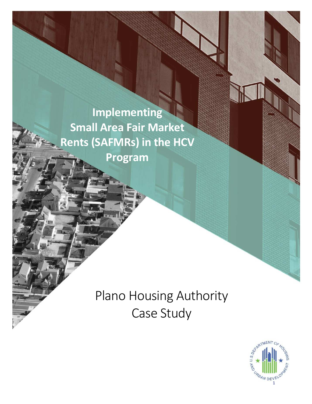**Implementing Small Area Fair Market** Ì **Rents (SAFMRs) in the HCV Program**

> Plano Housing Authority Case Study

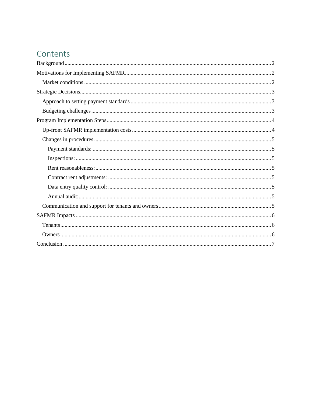# Contents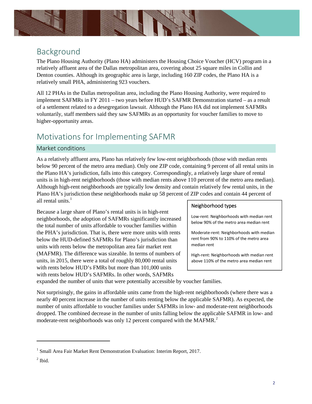

### Background

The Plano Housing Authority (Plano HA) administers the Housing Choice Voucher (HCV) program in a relatively affluent area of the Dallas metropolitan area, covering about 25 square miles in Collin and Denton counties. Although its geographic area is large, including 160 ZIP codes, the Plano HA is a relatively small PHA, administering 923 vouchers.

All 12 PHAs in the Dallas metropolitan area, including the Plano Housing Authority, were required to implement SAFMRs in FY 2011 – two years before HUD's SAFMR Demonstration started – as a result of a settlement related to a desegregation lawsuit. Although the Plano HA did not implement SAFMRs voluntarily, staff members said they saw SAFMRs as an opportunity for voucher families to move to higher-opportunity areas.

## Motivations for Implementing SAFMR

### Market conditions

As a relatively affluent area, Plano has relatively few low-rent neighborhoods (those with median rents below 90 percent of the metro area median). Only one ZIP code, containing 9 percent of all rental units in the Plano HA's jurisdiction, falls into this category. Correspondingly, a relatively large share of rental units is in high-rent neighborhoods (those with median rents above 110 percent of the metro area median). Although high-rent neighborhoods are typically low density and contain relatively few rental units, in the Plano HA's jurisdiction these neighborhoods make up 58 percent of ZIP codes and contain 44 percent of all rental units. $<sup>1</sup>$ </sup>

Because a large share of Plano's rental units is in high-rent<br>neighborhoods, the adoption of SAFMRs significantly increased<br>the total number of units affordable to voucher families within the PHA's jurisdiction. That is, there were more units with rents Moderate-rent: Neighborhoods with median below the HUD-defined SAFMRs for Plano's jurisdiction than rent from 90% to 110% of the metro area<br>metro helow the metropolitan area fair market rent units with rents below the metropolitan area fair market rent (MAFMR). The difference was sizeable. In terms of numbers of  $\parallel$  High-rent: Neighborhoods with median rent units, in 2015, there were a total of roughly  $80,000$  rental units above 110% of the metro area median rent with rents below HUD's FMRs but more than 101,000 units with rents below HUD's SAFMRs. In other words, SAFMRs

### Neighborhood types

expanded the number of units that were potentially accessible by voucher families.

Not surprisingly, the gains in affordable units came from the high-rent neighborhoods (where there was a nearly 40 percent increase in the number of units renting below the applicable SAFMR). As expected, the number of units affordable to voucher families under SAFMRs in low- and moderate-rent neighborhoods dropped. The combined decrease in the number of units falling below the applicable SAFMR in low- and moderate-rent neighborhoods was only 12 percent compared with the MAFMR.<sup>2</sup>

<sup>&</sup>lt;sup>1</sup> Small Area Fair Market Rent Demonstration Evaluation: Interim Report, 2017.

 $<sup>2</sup>$  Ibid.</sup>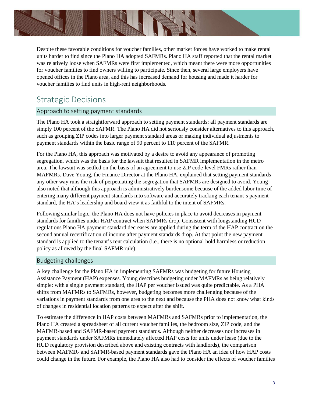

Despite these favorable conditions for voucher families, other market forces have worked to make rental units harder to find since the Plano HA adopted SAFMRs. Plano HA staff reported that the rental market was relatively loose when SAFMRs were first implemented, which meant there were more opportunities for voucher families to find owners willing to participate. Since then, several large employers have opened offices in the Plano area, and this has increased demand for housing and made it harder for voucher families to find units in high-rent neighborhoods.

## Strategic Decisions

### Approach to setting payment standards

The Plano HA took a straightforward approach to setting payment standards: all payment standards are simply 100 percent of the SAFMR. The Plano HA did not seriously consider alternatives to this approach, such as grouping ZIP codes into larger payment standard areas or making individual adjustments to payment standards within the basic range of 90 percent to 110 percent of the SAFMR.

For the Plano HA, this approach was motivated by a desire to avoid any appearance of promoting segregation, which was the basis for the lawsuit that resulted in SAFMR implementation in the metro area. The lawsuit was settled on the basis of an agreement to use ZIP code-level FMRs rather than MAFMRs. Dave Young, the Finance Director at the Plano HA, explained that setting payment standards any other way runs the risk of perpetuating the segregation that SAFMRs are designed to avoid. Young also noted that although this approach is administratively burdensome because of the added labor time of entering many different payment standards into software and accurately tracking each tenant's payment standard, the HA's leadership and board view it as faithful to the intent of SAFMRs.

Following similar logic, the Plano HA does not have policies in place to avoid decreases in payment standards for families under HAP contract when SAFMRs drop. Consistent with longstanding HUD regulations Plano HA payment standard decreases are applied during the term of the HAP contract on the second annual recertification of income after payment standards drop. At that point the new payment standard is applied to the tenant's rent calculation (i.e., there is no optional hold harmless or reduction policy as allowed by the final SAFMR rule).

### Budgeting challenges

A key challenge for the Plano HA in implementing SAFMRs was budgeting for future Housing Assistance Payment (HAP) expenses. Young describes budgeting under MAFMRs as being relatively simple: with a single payment standard, the HAP per voucher issued was quite predictable. As a PHA shifts from MAFMRs to SAFMRs, however, budgeting becomes more challenging because of the variations in payment standards from one area to the next and because the PHA does not know what kinds of changes in residential location patterns to expect after the shift.

To estimate the difference in HAP costs between MAFMRs and SAFMRs prior to implementation, the Plano HA created a spreadsheet of all current voucher families, the bedroom size, ZIP code, and the MAFMR-based and SAFMR-based payment standards. Although neither decreases nor increases in payment standards under SAFMRs immediately affected HAP costs for units under lease (due to the HUD regulatory provision described above and existing contracts with landlords), the comparison between MAFMR- and SAFMR-based payment standards gave the Plano HA an idea of how HAP costs could change in the future. For example, the Plano HA also had to consider the effects of voucher families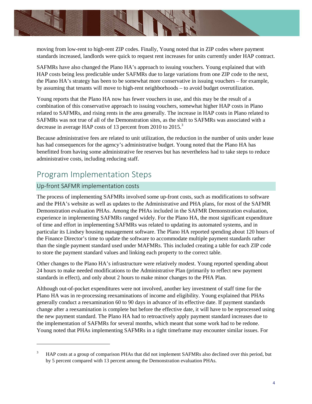

moving from low-rent to high-rent ZIP codes. Finally, Young noted that in ZIP codes where payment standards increased, landlords were quick to request rent increases for units currently under HAP contract.

SAFMRs have also changed the Plano HA's approach to issuing vouchers. Young explained that with HAP costs being less predictable under SAFMRs due to large variations from one ZIP code to the next, the Plano HA's strategy has been to be somewhat more conservative in issuing vouchers – for example, by assuming that tenants will move to high-rent neighborhoods – to avoid budget overutilization.

Young reports that the Plano HA now has fewer vouchers in use, and this may be the result of a combination of this conservative approach to issuing vouchers, somewhat higher HAP costs in Plano related to SAFMRs, and rising rents in the area generally. The increase in HAP costs in Plano related to SAFMRs was not true of all of the Demonstration sites, as the shift to SAFMRs was associated with a decrease in average HAP costs of 13 percent from 2010 to 2015.<sup>3</sup>

Because administrative fees are related to unit utilization, the reduction in the number of units under lease has had consequences for the agency's administrative budget. Young noted that the Plano HA has benefitted from having some administrative fee reserves but has nevertheless had to take steps to reduce administrative costs, including reducing staff.

## Program Implementation Steps

### Up-front SAFMR implementation costs

The process of implementing SAFMRs involved some up-front costs, such as modifications to software and the PHA's website as well as updates to the Administrative and PHA plans, for most of the SAFMR Demonstration evaluation PHAs. Among the PHAs included in the SAFMR Demonstration evaluation, experience in implementing SAFMRs ranged widely. For the Plano HA, the most significant expenditure of time and effort in implementing SAFMRs was related to updating its automated systems, and in particular its Lindsey housing management software. The Plano HA reported spending about 120 hours of the Finance Director's time to update the software to accommodate multiple payment standards rather than the single payment standard used under MAFMRs. This included creating a table for each ZIP code to store the payment standard values and linking each property to the correct table.

Other changes to the Plano HA's infrastructure were relatively modest. Young reported spending about 24 hours to make needed modifications to the Administrative Plan (primarily to reflect new payment standards in effect), and only about 2 hours to make minor changes to the PHA Plan.

Although out-of-pocket expenditures were not involved, another key investment of staff time for the Plano HA was in re-processing reexaminations of income and eligibility. Young explained that PHAs generally conduct a reexamination 60 to 90 days in advance of its effective date. If payment standards change after a reexamination is complete but before the effective date, it will have to be reprocessed using the new payment standard. The Plano HA had to retroactively apply payment standard increases due to the implementation of SAFMRs for several months, which meant that some work had to be redone. Young noted that PHAs implementing SAFMRs in a tight timeframe may encounter similar issues. For

HAP costs at a group of comparison PHAs that did not implement SAFMRs also declined over this period, but by 5 percent compared with 13 percent among the Demonstration evaluation PHAs. 3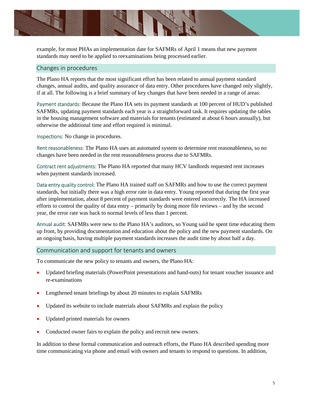

example, for most PHAs an implementation date for SAFMRs of April 1 means that new payment standards may need to be applied to reexaminations being processed earlier.

#### Changes in procedures

The Plano HA reports that the most significant effort has been related to annual payment standard changes, annual audits, and quality assurance of data entry. Other procedures have changed only slightly, if at all. The following is a brief summary of key changes that have been needed in a range of areas:

Payment standards: Because the Plano HA sets its payment standards at 100 percent of HUD's published SAFMRs, updating payment standards each year is a straightforward task. It requires updating the tables in the housing management software and materials for tenants (estimated at about 6 hours annually), but otherwise the additional time and effort required is minimal.

Inspections: No change in procedures.

Rent reasonableness: The Plano HA uses an automated system to determine rent reasonableness, so no changes have been needed in the rent reasonableness process due to SAFMRs.

Contract rent adjustments: The Plano HA reported that many HCV landlords requested rent increases when payment standards increased.

Data entry quality control: The Plano HA trained staff on SAFMRs and how to use the correct payment standards, but initially there was a high error rate in data entry. Young reported that during the first year after implementation, about 8 percent of payment standards were entered incorrectly. The HA increased efforts to control the quality of data entry – primarily by doing more file reviews – and by the second year, the error rate was back to normal levels of less than 1 percent.

Annual audit: SAFMRs were new to the Plano HA's auditors, so Young said he spent time educating them up front, by providing documentation and education about the policy and the new payment standards. On an ongoing basis, having multiple payment standards increases the audit time by about half a day.

### Communication and support for tenants and owners

To communicate the new policy to tenants and owners, the Plano HA:

- Updated briefing materials (PowerPoint presentations and hand-outs) for tenant voucher issuance and re-examinations
- Lengthened tenant briefings by about 20 minutes to explain SAFMRs
- Updated its website to include materials about SAFMRs and explain the policy
- Updated printed materials for owners
- Conducted owner fairs to explain the policy and recruit new owners.

In addition to these formal communication and outreach efforts, the Plano HA described spending more time communicating via phone and email with owners and tenants to respond to questions. In addition,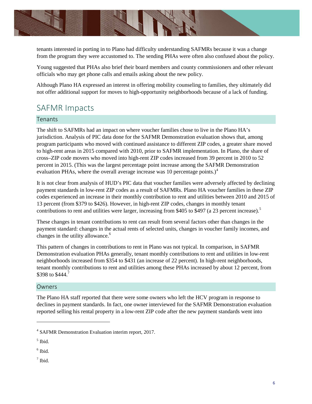

tenants interested in porting in to Plano had difficulty understanding SAFMRs because it was a change from the program they were accustomed to. The sending PHAs were often also confused about the policy.

Young suggested that PHAs also brief their board members and county commissioners and other relevant officials who may get phone calls and emails asking about the new policy.

Although Plano HA expressed an interest in offering mobility counseling to families, they ultimately did not offer additional support for moves to high-opportunity neighborhoods because of a lack of funding.

### SAFMR Impacts

### **Tenants**

The shift to SAFMRs had an impact on where voucher families chose to live in the Plano HA's jurisdiction. Analysis of PIC data done for the SAFMR Demonstration evaluation shows that, among program participants who moved with continued assistance to different ZIP codes, a greater share moved to high-rent areas in 2015 compared with 2010, prior to SAFMR implementation. In Plano, the share of cross–ZIP code movers who moved into high-rent ZIP codes increased from 39 percent in 2010 to 52 percent in 2015. (This was the largest percentage point increase among the SAFMR Demonstration evaluation PHAs, where the overall average increase was 10 percentage points.) $4$ 

It is not clear from analysis of HUD's PIC data that voucher families were adversely affected by declining payment standards in low-rent ZIP codes as a result of SAFMRs. Plano HA voucher families in these ZIP codes experienced an increase in their monthly contribution to rent and utilities between 2010 and 2015 of 13 percent (from \$379 to \$426). However, in high-rent ZIP codes, changes in monthly tenant contributions to rent and utilities were larger, increasing from \$405 to \$497 (a 23 percent increase).<sup>5</sup>

These changes in tenant contributions to rent can result from several factors other than changes in the payment standard: changes in the actual rents of selected units, changes in voucher family incomes, and changes in the utility allowance.<sup>6</sup>

This pattern of changes in contributions to rent in Plano was not typical. In comparison, in SAFMR Demonstration evaluation PHAs generally, tenant monthly contributions to rent and utilities in low-rent neighborhoods increased from \$354 to \$431 (an increase of 22 percent). In high-rent neighborhoods, tenant monthly contributions to rent and utilities among these PHAs increased by about 12 percent, from \$398 to \$444.7

#### **Owners**

The Plano HA staff reported that there were some owners who left the HCV program in response to declines in payment standards. In fact, one owner interviewed for the SAFMR Demonstration evaluation reported selling his rental property in a low-rent ZIP code after the new payment standards went into

 $<sup>7</sup>$  Ibid.</sup>

<sup>4</sup> SAFMR Demonstration Evaluation interim report, 2017.

 $<sup>5</sup>$  Ibid.</sup>

 $<sup>6</sup>$  Ibid.</sup>